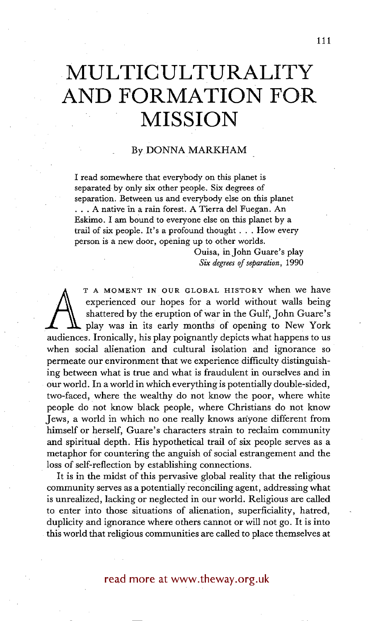## **• MULTICULTURALITY AND FORMATION FOR • MISSION**

## By DONNA MARKHAM

I read somewhere that everybody on this planet is separated by only six other people. Six degrees of separation. Between us and everybody else on this planet **• . .** A native in a rain forest. A Tierra del Fuegan. An Eskimo. I am bound to everyone else on this planet by a trail of six people. It's a profound thought . . , How every person is a new door, opening up to other worlds.

> Ouisa, in John Guare's play *Six degrees of separation,* 1990

experienced our hopes for a world without walls being<br>shattered by the eruption of war in the Gulf, John Guare's<br>play was in its early months of opening to New York<br>audiences. Ironically, his play poignantly depicts what h T A MOMENT IN OUR GLOBAL HISTORY when we have experienced our hopes for a world without walls being shattered by the eruption of war in the Gulf, John Guare's play was in its early months of opening to New York when social alienation and cultural isolation and ignorance so permeate our environment that we experience difficulty distinguishing between what is true and what is fraudulent in ourselves and in our world. In a world in which everything is potentially double-sided, two-faced, where the wealthy do not know the poor, where white people do not know black people, where Christians do not know Jews, a world in which no one really knows anyone different from himself or herself, Guare's characters strain to reclaim community and spiritual depth. His hypothetical trail of six people serves as a metaphor for countering the anguish of social estrangement and the loss of self-reflection by establishing connections.

It is in the midst of this pervasive global reality that the religious community serves as a potentially reconciling agent, addressing what is unrealized, lacking or neglected in our world. Religious are called to enter into those situations of alienation, superficiality, hatred, duplicity and ignorance where others cannot or will not go. It is into this world that religious communities are called to place themselves at

## read more at www.theway.org.uk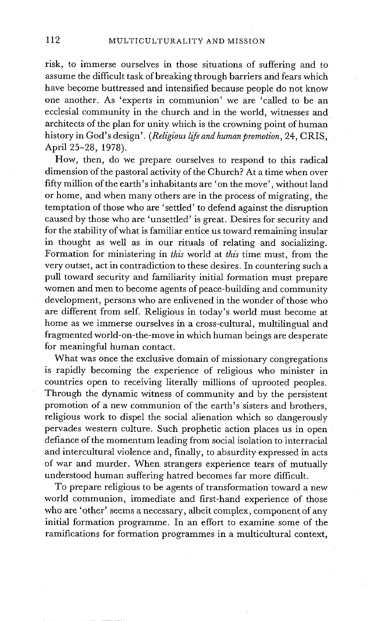risk, to immerse ourselves in those situations of suffering and to assume the difficult task of breaking through barriers and fears which have become buttressed and intensified because people do not know one another. As 'experts in communion' we are 'called to be an ecclesial community in the church and in the world, witnesses and architects of the plan for unity which is the crowning point of human history in God's design'. *(Religious life and human promotion,* 24, CRIS, April 25-28, 1978).

How, then, do we prepare ourselves to respond to this radical dimension of the pastoral activity of the Church? At a time when over fifty million of the earth's inhabitants are 'on the move', without land or home, and when many others are in the process of migrating, the temptation of those who are 'settled' to defend against the disruption caused by those who are 'unsettled' is great. Desires for security and for the stability of what is familiar entice us toward remaining insular in thought as well as in our rituals of relating and socializing. Formation for ministering in *this* world at *this* time must, from the very outset, act in contradiction to these desires. In countering such a pull toward security and familiarity initial formation must prepare women and men to become agents of peace-building and community development, persons who are enlivened in the wonder of those who are different from self. Religious in today's world must become at home as we immerse ourselves in a cross-cultural, multilingual and fragmented world-on-the-move in which human beings are desperate for meaningful human contact.

What was once the exclusive domain of missionary congregations is rapidly becoming the experience of religious who minister in countries open to receiving literally millions of uprooted peoples. Through the dynamic witness of community and by the persistent promotion of a new communion of the earth's sisters and brothers, religious work to dispel the social alienation which so dangerously pervades western culture. Such prophetic action places us in open defiance of the momentum leading from social isolation to interracial and intercultural violence and, finally, to absurdity expressed in acts of war and murder. When strangers experience tears of mutually understood human suffering hatred becomes far more difficult.

To prepare religious to be agents of transformation toward a new world communion, immediate and first-hand experience of those who are 'other' seems a necessary, albeit complex, component of any initial formation programme. In an effort to examine some of the ramifications for formation programmes in a multicultural context,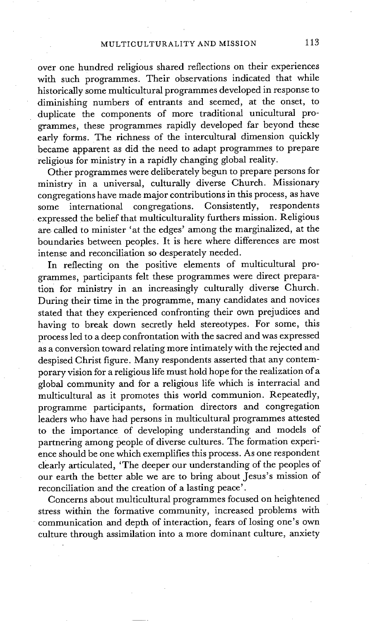over one hundred religious shared reflections on their experiences with such programmes. Their observations indicated that while historically some multicultural programmes developed in response to diminishing numbers of entrants and seemed, at the onset, to duplicate the components of more traditional unicultural programmes, these programmes rapidly developed far beyond these early forms. The richness of the intercultural dimension quickly became apparent as did the need to adapt programmes to prepare religious for ministry in a rapidly changing global reality.

Other programrnes were deliberately begun to prepare persons for ministry in a universal, culturally diverse Church. Missionary congregations have made major contributions in this process, as have some international congregations. Consistently, respondents expressed the belief that multiculturality furthers mission. Religious are called to minister 'at the edges' among the marginalized, at the boundaries between peoples. It is here where differences are most intense and reconciliation so desperately needed.

In reflecting on the positive elements of multicultural programmes, participants felt these programmes were direct preparation for ministry in an increasingly culturally diverse Church. During their time in the programme, many candidates and novices stated that they experienced confronting their own prejudices and having to break down secretly held stereotypes. For some, this process led to a deep confrontation with the sacred and was expressed as a conversion toward relating more intimately with the rejected and despised Christ figure. Many respondents asserted that any contemporary vision for a religious life must hold hope for the realization of a global community and for a religious life which is interracial and multicultural as it promotes this world communion. Repeatedly, programme participants, formation directors and congregation leaders who have had persons in multicultural programrnes attested to the importance of developing understanding and models of partnering among people of diverse cultures. The formation experience should be one which exemplifies this process. As one respondent clearly articulated, 'The deeper our understanding of the peoples of our earth the better able we are to bring about Jesus's mission of reconciliation and the creation of a lasting peace'.

Concerns about multicultural programmes focused on heightened stress within the formative community, increased problems with communication and depth of interaction, fears of losing one's own culture through assimilation into a more dominant culture, anxiety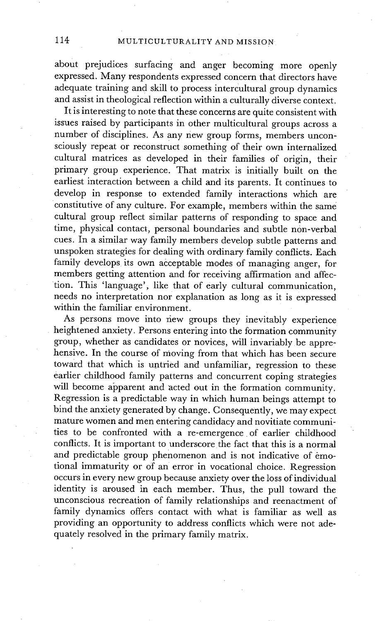about prejudices surfacing and anger becoming more openly expressed. Many respondents expressed concern that directors have adequate training and skill to process intercultural group dynamics and assist in theological reflection within a culturally diverse context.

It is interesting to note that these concerns are quite consistent with issues raised by participants in other multicultural groups across a number of disciplines. As any new group forms, members unconsciously repeat or reconstruct something of their own internalized cultural matrices as developed in their families of origin, their primary group experience. That matrix is initially built on the earliest interaction between a child and its parents. It continues to develop in response to extended family interactions which are constitutive of any culture. For example, members within the same cultural group reflect similar patterns of responding to space and time, physical contact, personal boundaries and subtle non-verbal cues. In a similar way family members develop subtle patterns and unspoken strategies for dealing with ordinary family conflicts. Each family develops its own acceptable modes of managing anger, for members getting attention and for receiving affirmation and affection. This 'language', like that of early cultural communication, needs no interpretation nor explanation as long as it is expressed within the familiar environment.

As persons move into new groups they inevitably experience • heightened anxiety. Persons entering into the formation community group, whether as candidates or novices, will invariably be apprehensive. In the course of moving from that which has been secure toward that which is untried and unfamiliar, regression to these earlier childhood family patterns and concurrent coping strategies will become apparent and acted out in the formation community. Regression is a predictable way in which human beings attempt to bind the anxiety generated by change. Consequently, we may expect mature women and men entering candidacy and novitiate communities to be confronted with a re-emergence of earlier childhood conflicts. It is important to underscore the fact that this is a normal and predictable group phenomenon and is not indicative of emotional immaturity or of an error in vocational choice. Regression occurs in every new group because anxiety over the loss of individual identity is aroused in each member. Thus, the pull toward the unconscious recreation of family relationships and reenactment of family dynamics offers contact with what is familiar as well as providing an opportunity to address conflicts which were not adequately resolved in the primary family matrix.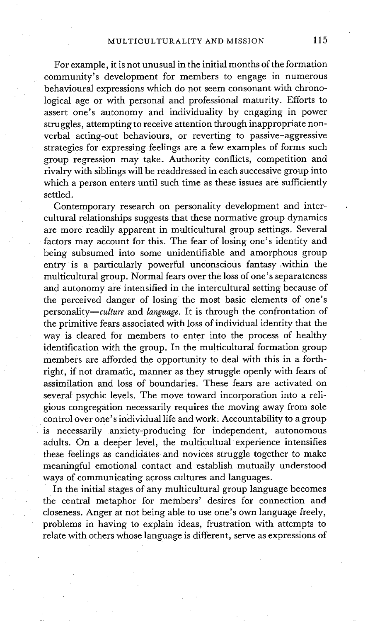For example, it is not unusual in the initial months of the formation community's development for members to engage in numerous behavioural expressions which do not seem consonant with chronological age or with personal and professional maturity. Efforts to assert one's autonomy and individuality by engaging in power struggles, attempting to receive attention through inappropriate nonverbal acting-out behaviours, or reverting to passive-aggressive strategies for expressing feelings are a few examples of forms such group regression may take. Authority conflicts, competition and rivalry with siblings will be readdressed in each successive group into which a person enters until such time as these issues are sufficiently settled.

Contemporary research on personality development and intercultural relationships suggests that these normative group dynamics are more readily apparent in multicultural group settings. Several factors may account for this. The fear of losing one's identity and being subsumed into some unidentifiable and amorphous group entry is a particularly powerful unconscious fantasy within the multicultural group. Normal fears over the loss of one's separateness and autonomy are intensified in the intercultural setting because of the perceived danger of losing the most basic elements of one's personality—culture and language. It is through the confrontation of the primitive fears associated with loss of individual identity that the way is cleared for members to enter into the process of healthy identification with the group. In the multicultural formation group members are afforded the opportunity to deal with this in a forthright, if not dramatic, manner as they struggle openly with fears of assimilation and loss of boundaries. These fears are activated on several psychic levels. The move toward incorporation into a religious congregation necessarily requires the moving away from sole control over one's individual life and work. Accountability to a group is necessarily anxiety-producing for independent, autonomous adults. On a deeper level, the multicultual experience intensifies these feelings as candidates and novices struggle together to make meaningful emotional contact and establish mutually understood ways of communicating across cultures and languages.

In the initial stages of any multicultural group language becomes the central metaphor for members' desires for connection and closeness. Anger at not being able to use one's own language freely, problems in having to explain ideas, frustration with attempts to relate with others whose language is different, serve as expressions of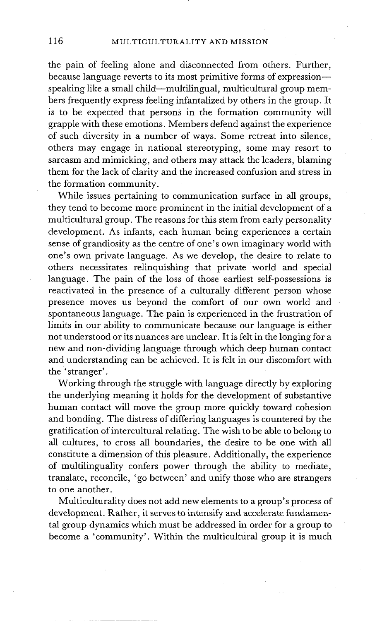the pain of feeling alone and disconnected from others. Further, because language reverts to its most primitive forms of expressionspeaking like a small child--multilingual, multicultural group members frequently express feeling infantalized by others in the group. It is to be expected that persons in the formation community will grapple with these emotions. Members defend against the experience of such diversity in a number of ways. Some retreat into silence, others may engage in national stereotyping, some may resort to sarcasm and mimicking, and others may attack the leaders, blaming them for the lack of clarity and the increased confusion and stress in the formation community.

While issues pertaining to communication surface in all groups, they tend to become more prominent in the initial development of a multicultural group. The reasons for this stem from early personality development. As infants, each human being experiences a certain sense of grandiosity as the centre of one's own imaginary world with one's own private language. As we develop, the desire to relate to others necessitates relinquishing that private world and special language. The pain of the loss of those earliest self-possessions is reactivated in the presence of a culturally different person whose presence moves us beyond the comfort of our own world and spontaneous language. The pain is experienced in the frustration of limits in our ability to communicate because our language is either not understood or its nuances are unclear. It is felt in the longing for a new and non-dividing language through which deep human contact and understanding can be achieved. It is felt in our discomfort with the 'stranger'.

Working through the struggle with language directly by exploring the underlying meaning it holds for the development of substantive human contact will move the group more quickly toward cohesion and bonding. The distress of differing languages is countered by the gratification of intercultural relating. The wish to be able to belong to all cultures, to cross all boundaries, the desire to be one with all constitute a dimension of this pleasure. Additionally, the experience of multilinguality confers power through the ability to mediate, translate, reconcile, 'go between' and unify those who are strangers to one another.

Multiculturality does not add new elements to a group's process of development. Rather, it serves to intensify and accelerate fundamental group dynamics which must be addressed in order for a group to become a 'community'. Within the multicultural group it is much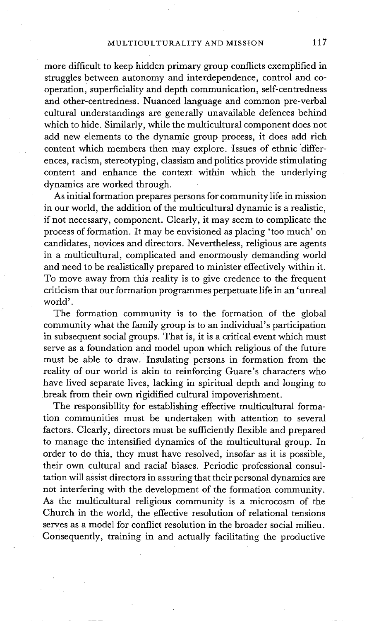more difficult to keep hidden primary group conflicts exemplified in struggles between autonomy and interdependence, control and cooperation, superficiality and depth communication, self-centredness and other-centredness. Nuanced language and common pre-verbal cultural understandings are generally unavailable defences behind which to hide. Similarly, while the multicultural component does not add new elements to the dynamic group process, it does add rich content which members then may explore. Issues of ethnic differences, racism, stereotyping, classism and politics provide stimulating content and enhance the context within which the underlying dynamics are worked through.

As initial formation prepares persons for community life in mission in our world, the addition of the multicultural dynamic is a realistic, if not necessary, component. Clearly, it may seem to complicate the process of formation. It may be envisioned as placing 'too much' on candidates, novices and directors. Nevertheless, religious are agents in a multicultural, complicated and enormously demanding world and need to be realistically prepared to minister effectively within it. To move away from this reality is to give credence to the frequent criticism that our formation programmes perpetuate life in an 'unreal world'.

The formation community is to the formation of the global community what the family group is to an individual's participation in subsequent social groups. That is, it is a critical event which must serve as a foundation and model upon which religious of the future must be able to draw. Insulating persons in formation from the reality of our world is akin to reinforcing Guare's characters who have lived separate lives, lacking in spiritual depth and longing to break from their own rigidified cultural impoverishment.

The responsibility for establishing effective multicultural formation communities must be undertaken with attention to several factors. Clearly, directors must be sufficiently flexible and prepared to manage the intensified dynamics of the multicultural group. In order to do this, they must have resolved, insofar as it is possible, their own cultural and racial biases. Periodic professional consultation will assist directors in assuring that their personal dynamics are not interfering with the development of the formation community. As the multicultural religious community is a microcosm of the Church in the world, the effective resolution of relational tensions serves as a model for conflict resolution in the broader social milieu. Consequently, training in and actually facilitating the productive